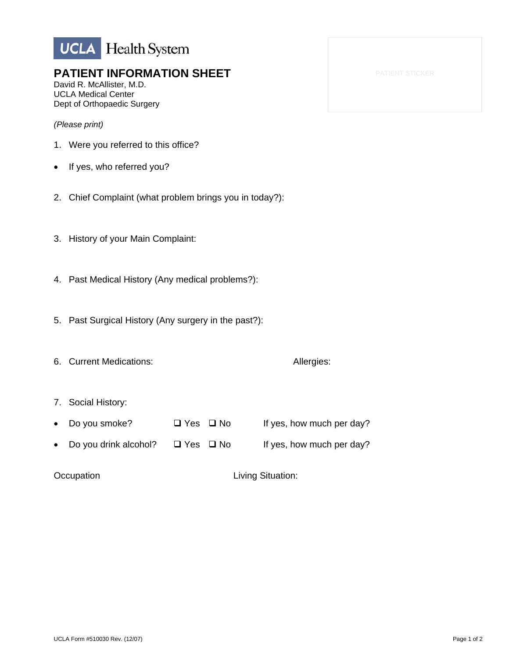

## **PATIENT INFORMATION SHEET**

David R. McAllister, M.D. UCLA Medical Center Dept of Orthopaedic Surgery

*(Please print)* 

- 1. Were you referred to this office?
- If yes, who referred you?
- 2. Chief Complaint (what problem brings you in today?):
- 3. History of your Main Complaint:
- 4. Past Medical History (Any medical problems?):
- 5. Past Surgical History (Any surgery in the past?):
- 6. Current Medications: Allergies:
- 7. Social History:
- Do you smoke?  $\Box$  Yes  $\Box$  No If yes, how much per day?
- Do you drink alcohol?  $\Box$  Yes  $\Box$  No If yes, how much per day?

**Occupation Living Situation:**